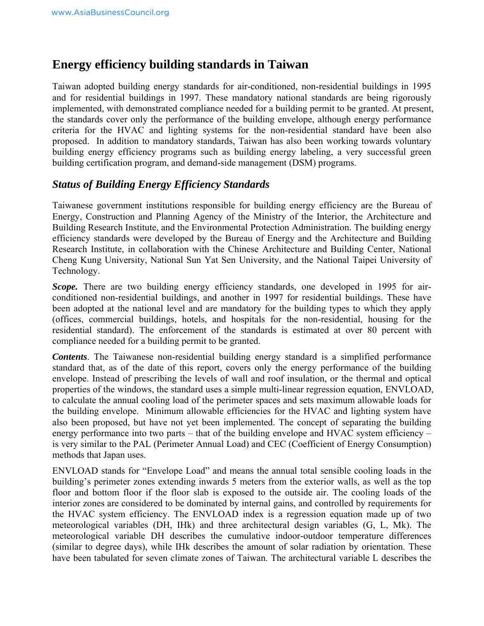# **Energy efficiency building standards in Taiwan**

Taiwan adopted building energy standards for air-conditioned, non-residential buildings in 1995 and for residential buildings in 1997. These mandatory national standards are being rigorously implemented, with demonstrated compliance needed for a building permit to be granted. At present, the standards cover only the performance of the building envelope, although energy performance criteria for the HVAC and lighting systems for the non-residential standard have been also proposed. In addition to mandatory standards, Taiwan has also been working towards voluntary building energy efficiency programs such as building energy labeling, a very successful green building certification program, and demand-side management (DSM) programs.

#### *Status of Building Energy Efficiency Standards*

Taiwanese government institutions responsible for building energy efficiency are the Bureau of Energy, Construction and Planning Agency of the Ministry of the Interior, the Architecture and Building Research Institute, and the Environmental Protection Administration. The building energy efficiency standards were developed by the Bureau of Energy and the Architecture and Building Research Institute, in collaboration with the Chinese Architecture and Building Center, National Cheng Kung University, National Sun Yat Sen University, and the National Taipei University of Technology.

Scope. There are two building energy efficiency standards, one developed in 1995 for airconditioned non-residential buildings, and another in 1997 for residential buildings. These have been adopted at the national level and are mandatory for the building types to which they apply (offices, commercial buildings, hotels, and hospitals for the non-residential, housing for the residential standard). The enforcement of the standards is estimated at over 80 percent with compliance needed for a building permit to be granted.

*Contents*. The Taiwanese non-residential building energy standard is a simplified performance standard that, as of the date of this report, covers only the energy performance of the building envelope. Instead of prescribing the levels of wall and roof insulation, or the thermal and optical properties of the windows, the standard uses a simple multi-linear regression equation, ENVLOAD, to calculate the annual cooling load of the perimeter spaces and sets maximum allowable loads for the building envelope. Minimum allowable efficiencies for the HVAC and lighting system have also been proposed, but have not yet been implemented. The concept of separating the building energy performance into two parts – that of the building envelope and HVAC system efficiency – is very similar to the PAL (Perimeter Annual Load) and CEC (Coefficient of Energy Consumption) methods that Japan uses.

ENVLOAD stands for "Envelope Load" and means the annual total sensible cooling loads in the building's perimeter zones extending inwards 5 meters from the exterior walls, as well as the top floor and bottom floor if the floor slab is exposed to the outside air. The cooling loads of the interior zones are considered to be dominated by internal gains, and controlled by requirements for the HVAC system efficiency. The ENVLOAD index is a regression equation made up of two meteorological variables (DH, IHk) and three architectural design variables (G, L, Mk). The meteorological variable DH describes the cumulative indoor-outdoor temperature differences (similar to degree days), while IHk describes the amount of solar radiation by orientation. These have been tabulated for seven climate zones of Taiwan. The architectural variable L describes the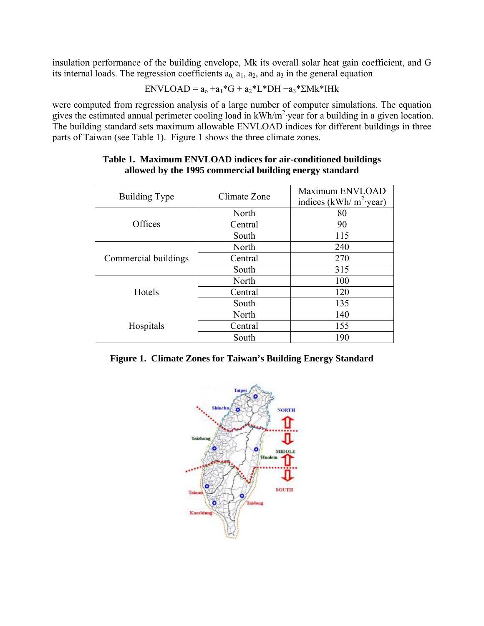insulation performance of the building envelope, Mk its overall solar heat gain coefficient, and G its internal loads. The regression coefficients  $a_0$ ,  $a_1$ ,  $a_2$ , and  $a_3$  in the general equation

$$
ENVLOAD = a_0 + a_1 * G + a_2 * L * DH + a_3 * \Sigma Mk * IHk
$$

were computed from regression analysis of a large number of computer simulations. The equation gives the estimated annual perimeter cooling load in kWh/m<sup>2</sup> year for a building in a given location. The building standard sets maximum allowable ENVLOAD indices for different buildings in three parts of Taiwan (see Table 1). Figure 1 shows the three climate zones.

| <b>Building Type</b> | Climate Zone | Maximum ENVLOAD<br>indices (kWh/ $m^2$ ·year) |  |
|----------------------|--------------|-----------------------------------------------|--|
|                      | North        | 80                                            |  |
| Offices              | Central      | 90                                            |  |
|                      | South        | 115                                           |  |
| Commercial buildings | North        | 240                                           |  |
|                      | Central      | 270                                           |  |
|                      | South        | 315                                           |  |
| Hotels               | North        | 100                                           |  |
|                      | Central      | 120                                           |  |
|                      | South        | 135                                           |  |
| Hospitals            | North        | 140                                           |  |
|                      | Central      | 155                                           |  |
|                      | South        | 190                                           |  |

#### **Table 1. Maximum ENVLOAD indices for air-conditioned buildings allowed by the 1995 commercial building energy standard**

|  |  |  |  | Figure 1. Climate Zones for Taiwan's Building Energy Standard |  |  |
|--|--|--|--|---------------------------------------------------------------|--|--|
|--|--|--|--|---------------------------------------------------------------|--|--|

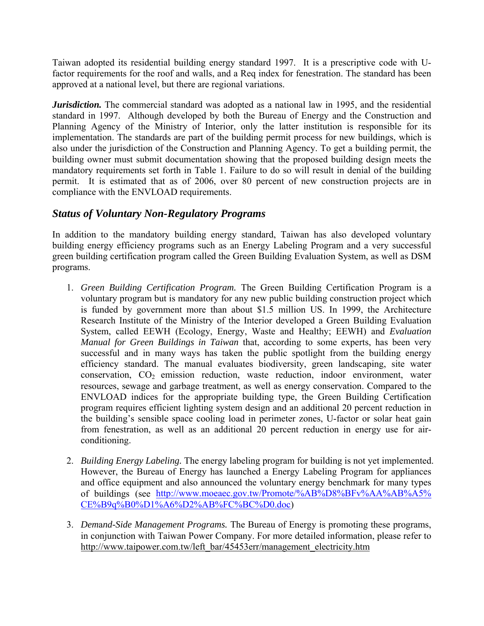Taiwan adopted its residential building energy standard 1997. It is a prescriptive code with Ufactor requirements for the roof and walls, and a Req index for fenestration. The standard has been approved at a national level, but there are regional variations.

*Jurisdiction*. The commercial standard was adopted as a national law in 1995, and the residential standard in 1997. Although developed by both the Bureau of Energy and the Construction and Planning Agency of the Ministry of Interior, only the latter institution is responsible for its implementation. The standards are part of the building permit process for new buildings, which is also under the jurisdiction of the Construction and Planning Agency. To get a building permit, the building owner must submit documentation showing that the proposed building design meets the mandatory requirements set forth in Table 1. Failure to do so will result in denial of the building permit. It is estimated that as of 2006, over 80 percent of new construction projects are in compliance with the ENVLOAD requirements.

## *Status of Voluntary Non-Regulatory Programs*

In addition to the mandatory building energy standard, Taiwan has also developed voluntary building energy efficiency programs such as an Energy Labeling Program and a very successful green building certification program called the Green Building Evaluation System, as well as DSM programs.

- 1. *Green Building Certification Program.* The Green Building Certification Program is a voluntary program but is mandatory for any new public building construction project which is funded by government more than about \$1.5 million US. In 1999, the Architecture Research Institute of the Ministry of the Interior developed a Green Building Evaluation System, called EEWH (Ecology, Energy, Waste and Healthy; EEWH) and *Evaluation Manual for Green Buildings in Taiwan* that, according to some experts, has been very successful and in many ways has taken the public spotlight from the building energy efficiency standard. The manual evaluates biodiversity, green landscaping, site water conservation,  $CO<sub>2</sub>$  emission reduction, waste reduction, indoor environment, water resources, sewage and garbage treatment, as well as energy conservation. Compared to the ENVLOAD indices for the appropriate building type, the Green Building Certification program requires efficient lighting system design and an additional 20 percent reduction in the building's sensible space cooling load in perimeter zones, U-factor or solar heat gain from fenestration, as well as an additional 20 percent reduction in energy use for airconditioning.
- 2. *Building Energy Labeling.* The energy labeling program for building is not yet implemented. However, the Bureau of Energy has launched a Energy Labeling Program for appliances and office equipment and also announced the voluntary energy benchmark for many types of buildings (see [http://www.moeaec.gov.tw/Promote/%AB%D8%BFv%AA%AB%A5%](http://www.moeaec.gov.tw/Promote/%AB%D8%BFv%AA%AB%A5%25%20CE%B9q%B0%D1%A6%D2%AB%FC%BC%D0.doc) [CE%B9q%B0%D1%A6%D2%AB%FC%BC%D0.doc\)](http://www.moeaec.gov.tw/Promote/%AB%D8%BFv%AA%AB%A5%25%20CE%B9q%B0%D1%A6%D2%AB%FC%BC%D0.doc)
- 3. *Dem*a*nd-Side Management Programs.* The Bureau of Energy is promoting these programs, in conjunction with Taiwan Power Company. For more detailed information, please refer to [http://www.taipower.com.tw/left\\_bar/45453err/management\\_electricity.htm](http://www.taipower.com.tw/left_bar/45453err/management_electricity.htm)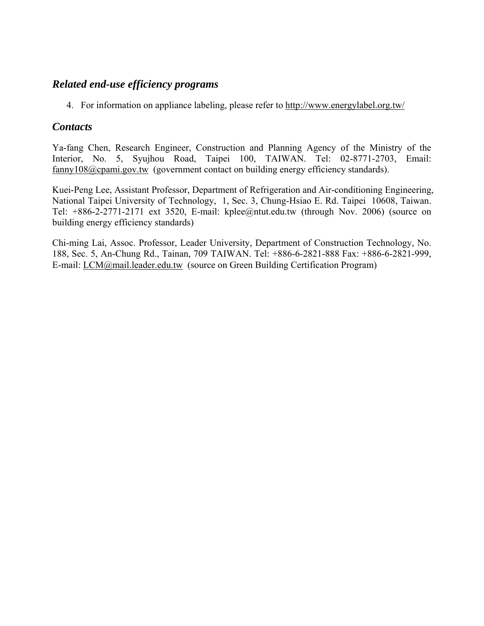## *Related end-use efficiency programs*

4. For information on appliance labeling, please refer to<http://www.energylabel.org.tw/>

#### *Contacts*

Ya-fang Chen, Research Engineer, Construction and Planning Agency of the Ministry of the Interior, No. 5, Syujhou Road, Taipei 100, TAIWAN. Tel: 02-8771-2703, Email: [fanny108@cpami.gov.tw](mailto:fanny108@cpami.gov.tw) (government contact on building energy efficiency standards).

Kuei-Peng Lee, Assistant Professor, Department of Refrigeration and Air-conditioning Engineering, National Taipei University of Technology, 1, Sec. 3, Chung-Hsiao E. Rd. Taipei 10608, Taiwan. Tel: +886-2-2771-2171 ext 3520, E-mail: [kplee@ntut.edu.tw](mailto:kplee@ntut.edu.tw) (through Nov. 2006) (source on building energy efficiency standards)

Chi-ming Lai, Assoc. Professor, Leader University, Department of Construction Technology, No. 188, Sec. 5, An-Chung Rd., Tainan, 709 TAIWAN. Tel: +886-6-2821-888 Fax: +886-6-2821-999, E-mail: [LCM@mail.leader.edu.tw](mailto:LCM@mail.leader.edu.tw) (source on Green Building Certification Program)